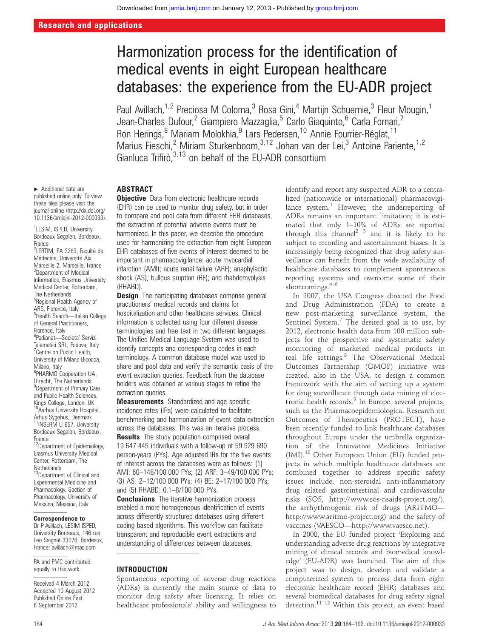# Harmonization process for the identification of medical events in eight European healthcare databases: the experience from the EU-ADR project

Paul Avillach,<sup>1,2</sup> Preciosa M Coloma,<sup>3</sup> Rosa Gini,<sup>4</sup> Martijn Schuemie,<sup>3</sup> Fleur Mougin,<sup>1</sup> Jean-Charles Dufour,<sup>2</sup> Giampiero Mazzaglia,<sup>5</sup> Carlo Giaquinto,<sup>6</sup> Carla Fornari,<sup>7</sup> Ron Herings,<sup>8</sup> Mariam Molokhia,<sup>9</sup> Lars Pedersen,<sup>10</sup> Annie Fourrier-Réglat,<sup>11</sup> Marius Fieschi,<sup>2</sup> Miriam Sturkenboom,<sup>3,12</sup> Johan van der Lei,<sup>3</sup> Antoine Pariente,<sup>1,2</sup> Gianluca Trifirò,  $3,13$  on behalf of the EU-ADR consortium

▸ Additional data are published online only. To view these files please visit the journal online [\(http://dx.doi.org/](http://dx.doi.org/10.1136/amiajnl-2012-000933) [10.1136/amiajnl-2012-000933\)](http://dx.doi.org/10.1136/amiajnl-2012-000933).

<sup>1</sup>LESIM, ISPED, University Bordeaux Segalen, Bordeaux, France

2 LERTIM, EA 3283, Faculté de Médecine, Université Aix Marseille 2, Marseille, France 3 Department of Medical Informatics, Erasmus University Medical Center, Rotterdam, The Netherlands 4 Regional Health Agency of ARS, Florence, Italy 5 Health Search—Italian College of General Practitioners, Florence, Italy 6 Pedianet—Societa' Servizi Telematici SRL, Padova, Italy <sup>7</sup> Centre on Public Health, University of Milano-Bicocca, Milano, Italy 8 PHARMO Coöperation UA, Utrecht, The Netherlands <sup>9</sup>Department of Primary Care and Public Health Sciences, Kings College, London, UK 10Aarhus University Hospital, Århus Sygehus, Denmark 11INSERM U 657, University Bordeaux Segalen, Bordeaux, France

12Department of Epidemiology, Erasmus University Medical Center, Rotterdam, The **Netherlands** 

13Department of Clinical and Experimental Medicine and Pharmacology, Section of Pharmacology, University of Messina, Messina, Italy

#### Correspondence to

Dr P Avillach, LESIM ISPED, University Bordeaux, 146 rue Leo Saignat 33076, Bordeaux, France; avillach@mac.com

PA and PMC contributed equally to this work.

Received 4 March 2012 Accepted 10 August 2012 Published Online First 6 September 2012

# ABSTRACT

**Objective** Data from electronic healthcare records (EHR) can be used to monitor drug safety, but in order to compare and pool data from different EHR databases, the extraction of potential adverse events must be harmonized. In this paper, we describe the procedure used for harmonizing the extraction from eight European EHR databases of five events of interest deemed to be important in pharmacovigilance: acute myocardial infarction (AMI); acute renal failure (ARF); anaphylactic shock (AS); bullous eruption (BE); and rhabdomyolysis (RHABD).

**Design** The participating databases comprise general practitioners' medical records and claims for hospitalization and other healthcare services. Clinical information is collected using four different disease terminologies and free text in two different languages. The Unified Medical Language System was used to identify concepts and corresponding codes in each terminology. A common database model was used to share and pool data and verify the semantic basis of the event extraction queries. Feedback from the database holders was obtained at various stages to refine the extraction queries.

**Measurements** Standardized and age specific incidence rates (IRs) were calculated to facilitate benchmarking and harmonization of event data extraction across the databases. This was an iterative process. **Results** The study population comprised overall

19 647 445 individuals with a follow-up of 59 929 690 person-years (PYs). Age adjusted IRs for the five events of interest across the databases were as follows: (1) AMI: 60–148/100 000 PYs; (2) ARF: 3–49/100 000 PYs; (3) AS: 2–12/100 000 PYs; (4) BE: 2–17/100 000 PYs; and (5) RHABD: 0.1–8/100 000 PYs.

**Conclusions** The iterative harmonization process enabled a more homogeneous identification of events across differently structured databases using different coding based algorithms. This workflow can facilitate transparent and reproducible event extractions and understanding of differences between databases.

# INTRODUCTION

Spontaneous reporting of adverse drug reactions (ADRs) is currently the main source of data to monitor drug safety after licensing. It relies on healthcare professionals' ability and willingness to

identify and report any suspected ADR to a centralized (nationwide or international) pharmacovigilance system.<sup>1</sup> However, the underreporting of ADRs remains an important limitation; it is estimated that only 1–10% of ADRs are reported through this channel<sup>2</sup>  $3$  and it is likely to be subject to recording and ascertainment biases. It is increasingly being recognized that drug safety surveillance can benefit from the wide availability of healthcare databases to complement spontaneous reporting systems and overcome some of their shortcomings.4–<sup>6</sup>

In 2007, the USA Congress directed the Food and Drug Administration (FDA) to create a new post-marketing surveillance system, the Sentinel System. $<sup>7</sup>$  The desired goal is to use, by</sup> 2012, electronic health data from 100 million subjects for the prospective and systematic safety monitoring of marketed medical products in real life settings.<sup>8</sup> The Observational Medical Outcomes Partnership (OMOP) initiative was created, also in the USA, to design a common framework with the aim of setting up a system for drug surveillance through data mining of electronic health records. $9$  In Europe, several projects, such as the Pharmacoepidemiological Research on Outcomes of Therapeutics (PROTECT), have been recently funded to link healthcare databases throughout Europe under the umbrella organization of the Innovative Medicines Initiative  $(IMI).<sup>10</sup>$  Other European Union (EU) funded projects in which multiple healthcare databases are combined together to address specific safety issues include: non-steroidal anti-inflammatory drug related gastrointestinal and cardiovascular risks (SOS, [http://www.sos-nsaids-project.org/\)](http://www.sos-nsaids-project.org/), the arrhythmogenic risk of drugs (ARITMO <http://www.aritmo-project.org>) and the safety of vaccines (VAESCO—[http://www.vaesco.net\)](http://www.vaesco.net).

In 2008, the EU funded project 'Exploring and understanding adverse drug reactions by integrative mining of clinical records and biomedical knowledge' (EU-ADR) was launched. The aim of this project was to design, develop and validate a computerized system to process data from eight electronic healthcare record (EHR) databases and several biomedical databases for drug safety signal detection.<sup>11 12</sup> Within this project, an event based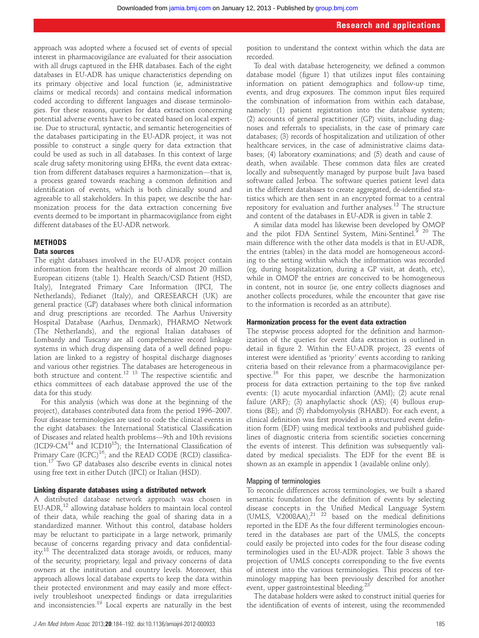approach was adopted where a focused set of events of special interest in pharmacovigilance are evaluated for their association with all drugs captured in the EHR databases. Each of the eight databases in EU-ADR has unique characteristics depending on its primary objective and local function (ie, administrative claims or medical records) and contains medical information coded according to different languages and disease terminologies. For these reasons, queries for data extraction concerning potential adverse events have to be created based on local expertise. Due to structural, syntactic, and semantic heterogeneities of the databases participating in the EU-ADR project, it was not possible to construct a single query for data extraction that could be used as such in all databases. In this context of large scale drug safety monitoring using EHRs, the event data extraction from different databases requires a harmonization—that is, a process geared towards reaching a common definition and identification of events, which is both clinically sound and agreeable to all stakeholders. In this paper, we describe the harmonization process for the data extraction concerning five events deemed to be important in pharmacovigilance from eight different databases of the EU-ADR network.

# **METHODS**

# Data sources

The eight databases involved in the EU-ADR project contain information from the healthcare records of almost 20 million European citizens (table 1). Health Search/CSD Patient (HSD, Italy), Integrated Primary Care Information (IPCI, The Netherlands), Pedianet (Italy), and QRESEARCH (UK) are general practice (GP) databases where both clinical information and drug prescriptions are recorded. The Aarhus University Hospital Database (Aarhus, Denmark), PHARMO Network (The Netherlands), and the regional Italian databases of Lombardy and Tuscany are all comprehensive record linkage systems in which drug dispensing data of a well defined population are linked to a registry of hospital discharge diagnoses and various other registries. The databases are heterogeneous in both structure and content.<sup>12 13</sup> The respective scientific and ethics committees of each database approved the use of the data for this study.

For this analysis (which was done at the beginning of the project), databases contributed data from the period 1996–2007. Four disease terminologies are used to code the clinical events in the eight databases: the International Statistical Classification of Diseases and related health problems—9th and 10th revisions (ICD9-CM<sup>14</sup> and ICD10<sup>15</sup>); the International Classification of Primary Care  $(ICPC)^{16}$ ; and the READ CODE (RCD) classification.17 Two GP databases also describe events in clinical notes using free text in either Dutch (IPCI) or Italian (HSD).

# Linking disparate databases using a distributed network

A distributed database network approach was chosen in  $EU-ADR<sub>12</sub>$  allowing database holders to maintain local control of their data, while reaching the goal of sharing data in a standardized manner. Without this control, database holders may be reluctant to participate in a large network, primarily because of concerns regarding privacy and data confidentiality.<sup>18</sup> The decentralized data storage avoids, or reduces, many of the security, proprietary, legal and privacy concerns of data owners at the institution and country levels. Moreover, this approach allows local database experts to keep the data within their protected environment and may easily and more effectively troubleshoot unexpected findings or data irregularities and inconsistencies.<sup>19</sup> Local experts are naturally in the best

position to understand the context within which the data are recorded.

To deal with database heterogeneity, we defined a common database model (figure 1) that utilizes input files containing information on patient demographics and follow-up time, events, and drug exposures. The common input files required the combination of information from within each database, namely: (1) patient registration into the database system; (2) accounts of general practitioner (GP) visits, including diagnoses and referrals to specialists, in the case of primary care databases; (3) records of hospitalization and utilization of other healthcare services, in the case of administrative claims databases; (4) laboratory examinations; and (5) death and cause of death, when available. These common data files are created locally and subsequently managed by purpose built Java based software called Jerboa. The software queries patient level data in the different databases to create aggregated, de-identified statistics which are then sent in an encrypted format to a central repository for evaluation and further analyses.12 The structure and content of the databases in EU-ADR is given in table 2.

A similar data model has likewise been developed by OMOP and the pilot FDA Sentinel System, Mini-Sentinel.<sup>9</sup> <sup>20</sup> The main difference with the other data models is that in EU-ADR, the entries (tables) in the data model are homogeneous according to the setting within which the information was recorded (eg, during hospitalization, during a GP visit, at death, etc), while in OMOP the entries are conceived to be homogeneous in content, not in source (ie, one entry collects diagnoses and another collects procedures, while the encounter that gave rise to the information is recorded as an attribute).

# Harmonization process for the event data extraction

The stepwise process adopted for the definition and harmonization of the queries for event data extraction is outlined in detail in figure 2. Within the EU-ADR project, 23 events of interest were identified as 'priority' events according to ranking criteria based on their relevance from a pharmacovigilance perspective.<sup>16</sup> For this paper, we describe the harmonization process for data extraction pertaining to the top five ranked events: (1) acute myocardial infarction (AMI); (2) acute renal failure (ARF); (3) anaphylactic shock (AS); (4) bullous eruptions (BE); and (5) rhabdomyolysis (RHABD). For each event, a clinical definition was first provided in a structured event definition form (EDF) using medical textbooks and published guidelines of diagnostic criteria from scientific societies concerning the events of interest. This definition was subsequently validated by medical specialists. The EDF for the event BE is shown as an example in appendix 1 (available online only).

#### Mapping of terminologies

To reconcile differences across terminologies, we built a shared semantic foundation for the definition of events by selecting disease concepts in the Unified Medical Language System (UMLS, V.2008AA), $^{21}$   $^{22}$  based on the medical definitions reported in the EDF. As the four different terminologies encountered in the databases are part of the UMLS, the concepts could easily be projected into codes for the four disease coding terminologies used in the EU-ADR project. Table 3 shows the projection of UMLS concepts corresponding to the five events of interest into the various terminologies. This process of terminology mapping has been previously described for another event, upper gastrointestinal bleeding.<sup>23</sup>

The database holders were asked to construct initial queries for the identification of events of interest, using the recommended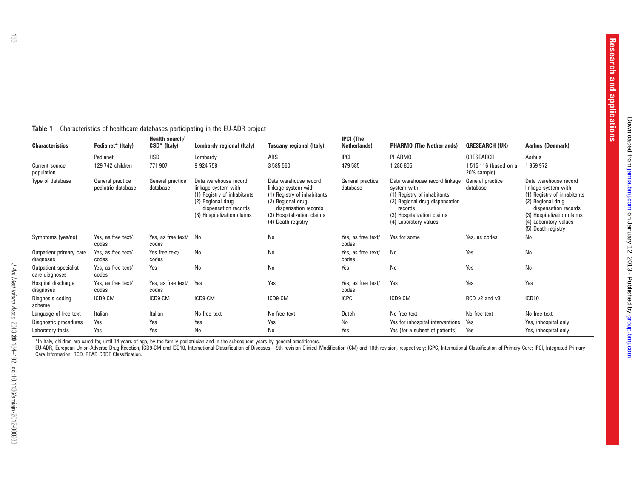| <b>Characteristics</b>                  | Pedianet* (Italy)                      | Health search/<br>CSD <sup>*</sup> (Italy) | Lombardy regional (Italy)                                                                                                                              | Tuscany regional (Italy)                                                                                                                                                     | <b>IPCI (The</b><br><b>Netherlands</b> ) | <b>PHARMO (The Netherlands)</b>                                                                                                                                                 | <b>QRESEARCH (UK)</b>               | Aarhus (Denmark)                                                                                                                                                                                      |
|-----------------------------------------|----------------------------------------|--------------------------------------------|--------------------------------------------------------------------------------------------------------------------------------------------------------|------------------------------------------------------------------------------------------------------------------------------------------------------------------------------|------------------------------------------|---------------------------------------------------------------------------------------------------------------------------------------------------------------------------------|-------------------------------------|-------------------------------------------------------------------------------------------------------------------------------------------------------------------------------------------------------|
|                                         | Pedianet                               | <b>HSD</b>                                 | Lombardy                                                                                                                                               | ARS                                                                                                                                                                          | <b>IPCI</b>                              | <b>PHARMO</b>                                                                                                                                                                   | <b>ORESEARCH</b>                    | Aarhus                                                                                                                                                                                                |
| Current source<br>population            | 129 742 children                       | 771 907                                    | 9 9 2 4 7 5 8                                                                                                                                          | 3585560                                                                                                                                                                      | 479 585                                  | 1 280 805                                                                                                                                                                       | 1515 116 (based on a<br>20% sample) | 1959972                                                                                                                                                                                               |
| Type of database                        | General practice<br>pediatric database | General practice<br>database               | Data warehouse record<br>linkage system with<br>(1) Registry of inhabitants<br>(2) Regional drug<br>dispensation records<br>(3) Hospitalization claims | Data warehouse record<br>linkage system with<br>(1) Registry of inhabitants<br>(2) Regional drug<br>dispensation records<br>(3) Hospitalization claims<br>(4) Death registry | General practice<br>database             | Data warehouse record linkage<br>system with<br>(1) Registry of inhabitants<br>(2) Regional drug dispensation<br>records<br>(3) Hospitalization claims<br>(4) Laboratory values | General practice<br>database        | Data warehouse record<br>linkage system with<br>(1) Registry of inhabitants<br>(2) Regional drug<br>dispensation records<br>(3) Hospitalization claims<br>(4) Laboratory values<br>(5) Death registry |
| Symptoms (yes/no)                       | Yes, as free text/<br>codes            | Yes, as free text/<br>codes                | No                                                                                                                                                     | No                                                                                                                                                                           | Yes, as free text/<br>codes              | Yes for some                                                                                                                                                                    | Yes, as codes                       | No                                                                                                                                                                                                    |
| Outpatient primary care<br>diagnoses    | Yes, as free text/<br>codes            | Yes free text/<br>codes                    | No                                                                                                                                                     | No                                                                                                                                                                           | Yes, as free text/<br>codes              | No                                                                                                                                                                              | Yes                                 | No                                                                                                                                                                                                    |
| Outpatient specialist<br>care diagnoses | Yes, as free text/<br>codes            | Yes                                        | No                                                                                                                                                     | No                                                                                                                                                                           | Yes                                      | No                                                                                                                                                                              | Yes                                 | No                                                                                                                                                                                                    |
| Hospital discharge<br>diagnoses         | Yes, as free text/<br>codes            | Yes, as free text/<br>codes                | Yes                                                                                                                                                    | Yes                                                                                                                                                                          | Yes, as free text/<br>codes              | Yes                                                                                                                                                                             | Yes                                 | Yes                                                                                                                                                                                                   |
| Diagnosis coding<br>scheme              | ICD9-CM                                | ICD9-CM                                    | ICD9-CM                                                                                                                                                | ICD9-CM                                                                                                                                                                      | <b>ICPC</b>                              | ICD9-CM                                                                                                                                                                         | RCD v2 and v3                       | ICD <sub>10</sub>                                                                                                                                                                                     |
| Language of free text                   | Italian                                | Italian                                    | No free text                                                                                                                                           | No free text                                                                                                                                                                 | Dutch                                    | No free text                                                                                                                                                                    | No free text                        | No free text                                                                                                                                                                                          |
| Diagnostic procedures                   | Yes                                    | Yes                                        | Yes                                                                                                                                                    | Yes                                                                                                                                                                          | No                                       | Yes for inhospital interventions                                                                                                                                                | Yes                                 | Yes, inhospital only                                                                                                                                                                                  |
| Laboratory tests                        | Yes                                    | Yes                                        | No                                                                                                                                                     | No                                                                                                                                                                           | Yes                                      | Yes (for a subset of patients)                                                                                                                                                  | Yes                                 | Yes, inhospital only                                                                                                                                                                                  |

#### **Table 1** Characteristics of healthcare databases participating in the EU-ADR project

\*In Italy, children are cared for, until 14 years of age, by the family pediatrician and in the subsequent years by general practitioners.

EU-ADR, European Union-Adverse Drug Reaction; ICD9-CM and ICD10, International Classification of Diseases—9th revision Clinical Modification (CM) and 10th revision, respectively; ICPC, International Classification of Prima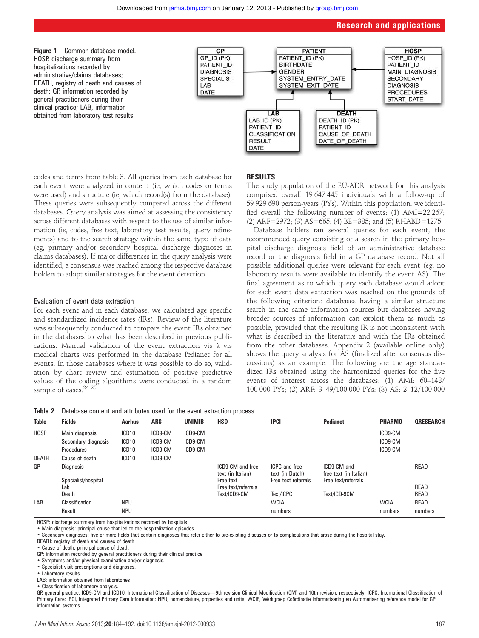

codes and terms from table 3. All queries from each database for each event were analyzed in content (ie, which codes or terms were used) and structure (ie, which record(s) from the database). These queries were subsequently compared across the different databases. Query analysis was aimed at assessing the consistency across different databases with respect to the use of similar information (ie, codes, free text, laboratory test results, query refinements) and to the search strategy within the same type of data (eg, primary and/or secondary hospital discharge diagnoses in claims databases). If major differences in the query analysis were identified, a consensus was reached among the respective database holders to adopt similar strategies for the event detection.

#### Evaluation of event data extraction

For each event and in each database, we calculated age specific and standardized incidence rates (IRs). Review of the literature was subsequently conducted to compare the event IRs obtained in the databases to what has been described in previous publications. Manual validation of the event extraction vis à vis medical charts was performed in the database Pedianet for all events. In those databases where it was possible to do so, validation by chart review and estimation of positive predictive values of the coding algorithms were conducted in a random sample of cases.<sup>24 25</sup>

# RESULTS

The study population of the EU-ADR network for this analysis comprised overall 19 647 445 individuals with a follow-up of 59 929 690 person-years (PYs). Within this population, we identified overall the following number of events: (1) AMI=22 267; (2) ARF=2972; (3) AS=665; (4) BE=385; and (5) RHABD=1275.

Database holders ran several queries for each event, the recommended query consisting of a search in the primary hospital discharge diagnosis field of an administrative database record or the diagnosis field in a GP database record. Not all possible additional queries were relevant for each event (eg, no laboratory results were available to identify the event AS). The final agreement as to which query each database would adopt for each event data extraction was reached on the grounds of the following criterion: databases having a similar structure search in the same information sources but databases having broader sources of information can exploit them as much as possible, provided that the resulting IR is not inconsistent with what is described in the literature and with the IRs obtained from the other databases. Appendix 2 (available online only) shows the query analysis for AS (finalized after consensus discussions) as an example. The following are the age standardized IRs obtained using the harmonized queries for the five events of interest across the databases: (1) AMI: 60–148/ 100 000 PYs; (2) ARF: 3–49/100 000 PYs; (3) AS: 2–12/100 000

Table 2 Database content and attributes used for the event extraction process

| <b>Table</b> | <b>Fields</b>       | <b>Aarhus</b>     | <b>ARS</b> | <b>UNIMIB</b> | <b>HSD</b>                            | <b>IPCI</b>                      | <b>Pedianet</b>                       | <b>PHARMO</b> | <b>ORESEARCH</b> |
|--------------|---------------------|-------------------|------------|---------------|---------------------------------------|----------------------------------|---------------------------------------|---------------|------------------|
| <b>HOSP</b>  | Main diagnosis      | ICD <sub>10</sub> | ICD9-CM    | ICD9-CM       |                                       |                                  |                                       | ICD9-CM       |                  |
|              | Secondary diagnosis | ICD <sub>10</sub> | ICD9-CM    | ICD9-CM       |                                       |                                  |                                       | ICD9-CM       |                  |
|              | Procedures          | ICD <sub>10</sub> | ICD9-CM    | ICD9-CM       |                                       |                                  |                                       | ICD9-CM       |                  |
| <b>DEATH</b> | Cause of death      | ICD <sub>10</sub> | ICD9-CM    |               |                                       |                                  |                                       |               |                  |
| GP           | <b>Diagnosis</b>    |                   |            |               | ICD9-CM and free<br>text (in Italian) | ICPC and free<br>text (in Dutch) | ICD9-CM and<br>free text (in Italian) |               | <b>READ</b>      |
|              | Specialist/hospital |                   |            |               | Free text                             | Free text referrals              | Free text/referrals                   |               |                  |
|              | Lab                 |                   |            |               | Free text/referrals                   |                                  |                                       |               | <b>READ</b>      |
|              | Death               |                   |            |               | Text/ICD9-CM                          | Text/ICPC                        | Text/ICD-9CM                          |               | READ             |
| LAB          | Classification      | <b>NPU</b>        |            |               |                                       | <b>WCIA</b>                      |                                       | <b>WCIA</b>   | <b>READ</b>      |
|              | Result              | <b>NPU</b>        |            |               |                                       | numbers                          |                                       | numbers       | numbers          |

HOSP: discharge summary from hospitalizations recorded by hospitals

• Main diagnosis: principal cause that led to the hospitalization episodes.

• Secondary diagnoses: five or more fields that contain diagnoses that refer either to pre-existing diseases or to complications that arose during the hospital stay.

DEATH: registry of death and causes of death

• Cause of death: principal cause of death.

GP: information recorded by general practitioners during their clinical practice

• Symptoms and/or physical examination and/or diagnosis.

• Specialist visit prescriptions and diagnoses.

• Laboratory results.

LAB: information obtained from laboratories

• Classification of laboratory analysis.

GP, general practice; ICD9-CM and ICD10, International Classification of Diseases—9th revision Clinical Modification (CM) and 10th revision, respectively; ICPC, International Classification of Primary Care; IPCI, Integrated Primary Care Information; NPU, nomenclature, properties and units; WCIE, Werkgroep Coördinatie Informatisering en Automatisering reference model for GP information systems.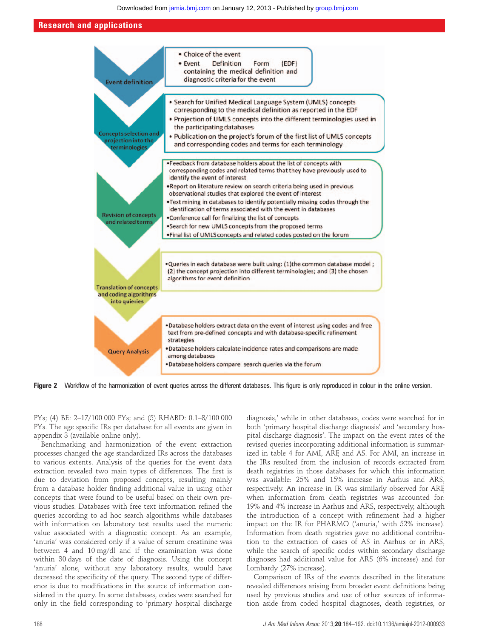# Research and applications



Figure 2 Workflow of the harmonization of event queries across the different databases. This figure is only reproduced in colour in the online version.

PYs; (4) BE: 2–17/100 000 PYs; and (5) RHABD: 0.1–8/100 000 PYs. The age specific IRs per database for all events are given in appendix 3 (available online only).

Benchmarking and harmonization of the event extraction processes changed the age standardized IRs across the databases to various extents. Analysis of the queries for the event data extraction revealed two main types of differences. The first is due to deviation from proposed concepts, resulting mainly from a database holder finding additional value in using other concepts that were found to be useful based on their own previous studies. Databases with free text information refined the queries according to ad hoc search algorithms while databases with information on laboratory test results used the numeric value associated with a diagnostic concept. As an example, 'anuria' was considered only if a value of serum creatinine was between 4 and 10 mg/dl and if the examination was done within 30 days of the date of diagnosis. Using the concept 'anuria' alone, without any laboratory results, would have decreased the specificity of the query. The second type of difference is due to modifications in the source of information considered in the query. In some databases, codes were searched for only in the field corresponding to 'primary hospital discharge

diagnosis,' while in other databases, codes were searched for in both 'primary hospital discharge diagnosis' and 'secondary hospital discharge diagnosis'. The impact on the event rates of the revised queries incorporating additional information is summarized in table 4 for AMI, ARF, and AS. For AMI, an increase in the IRs resulted from the inclusion of records extracted from death registries in those databases for which this information was available: 25% and 15% increase in Aarhus and ARS, respectively. An increase in IR was similarly observed for ARF, when information from death registries was accounted for: 19% and 4% increase in Aarhus and ARS, respectively, although the introduction of a concept with refinement had a higher impact on the IR for PHARMO ('anuria,' with 52% increase). Information from death registries gave no additional contribution to the extraction of cases of AS in Aarhus or in ARS, while the search of specific codes within secondary discharge diagnoses had additional value for ARS (6% increase) and for Lombardy (27% increase).

Comparison of IRs of the events described in the literature revealed differences arising from broader event definitions being used by previous studies and use of other sources of information aside from coded hospital diagnoses, death registries, or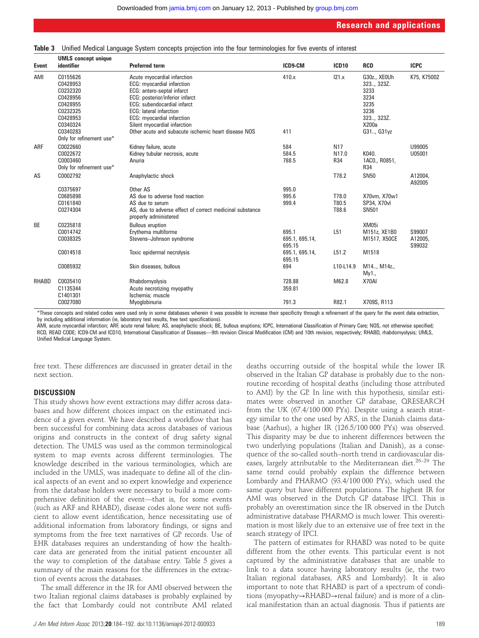| <b>Event</b> | <b>UMLS</b> concept unique<br>identifier                                                     | <b>Preferred term</b>                                                                                                                                                                                                                                            | ICD9-CM                           | ICD <sub>10</sub>                      | <b>RCD</b>                                                                         | <b>ICPC</b>                 |
|--------------|----------------------------------------------------------------------------------------------|------------------------------------------------------------------------------------------------------------------------------------------------------------------------------------------------------------------------------------------------------------------|-----------------------------------|----------------------------------------|------------------------------------------------------------------------------------|-----------------------------|
| AMI          | C0155626<br>C0428953<br>C0232320<br>C0428956<br>C0428955<br>C0232325<br>C0428953<br>C0340324 | Acute myocardial infarction<br><b>ECG:</b> myocardial infarction<br>ECG: antero-septal infarct<br>ECG: posterior/inferior infarct<br>ECG: subendocardial infarct<br><b>ECG:</b> lateral infarction<br>ECG: myocardial infarction<br>Silent myocardial infarction | 410.x                             | 121.x                                  | G30z., XEOUh<br>323, 323Z.<br>3233<br>3234<br>3235<br>3236<br>323., 323Z.<br>X200a | K75, K75002                 |
|              | C0340283<br>Only for refinement use*                                                         | Other acute and subacute ischemic heart disease NOS                                                                                                                                                                                                              | 411                               |                                        | G31, G31yz                                                                         |                             |
| ARF          | C0022660<br>C0022672<br>C0003460<br>Only for refinement use*                                 | Kidney failure, acute<br>Kidney tubular necrosis, acute<br>Anuria                                                                                                                                                                                                | 584<br>584.5<br>788.5             | N <sub>17</sub><br>N17.0<br><b>R34</b> | K040.<br>1ACO., R0851,<br>R34                                                      | U99005<br>U05001            |
| AS           | C0002792                                                                                     | Anaphylactic shock                                                                                                                                                                                                                                               |                                   | T78.2                                  | <b>SN50</b>                                                                        | A12004,<br>A92005           |
|              | C0375697<br>C0685898<br>C0161840<br>C0274304                                                 | Other AS<br>AS due to adverse food reaction<br>AS due to serum<br>AS, due to adverse effect of correct medicinal substance<br>properly administered                                                                                                              | 995.0<br>995.6<br>999.4           | T78.0<br>T80.5<br>T88.6                | X70vm, X70w1<br>SP34, X70vl<br>SN501                                               |                             |
| <b>BE</b>    | C0235818<br>C0014742<br>C0038325                                                             | <b>Bullous eruption</b><br>Erythema multiforme<br>Stevens-Johnson syndrome                                                                                                                                                                                       | 695.1<br>695.1, 695.14,<br>695.15 | L <sub>51</sub>                        | XM05i<br>M151z, XE1B0<br>M1517, X50CE                                              | S99007<br>A12005,<br>S99032 |
|              | C0014518                                                                                     | Toxic epidermal necrolysis                                                                                                                                                                                                                                       | 695.1, 695.14,<br>695.15          | L51.2                                  | M1518                                                                              |                             |
|              | C0085932                                                                                     | Skin diseases, bullous                                                                                                                                                                                                                                           | 694                               | L10-L14.9                              | M14, M14z.,<br>My1.,                                                               |                             |
| <b>RHABD</b> | C0035410<br>C1135344<br>C1401301                                                             | Rhabdomyolysis<br>Acute necrotizing myopathy<br>Ischemia; muscle                                                                                                                                                                                                 | 728.88<br>359.81                  | M62.8                                  | X70AI                                                                              |                             |
|              | C0027080                                                                                     | Myoglobinuria                                                                                                                                                                                                                                                    | 791.3                             | R82.1                                  | X709S, R113                                                                        |                             |

#### Table 3 Unified Medical Language System concepts projection into the four terminologies for five events of interest

\*These concepts and related codes were used only in some databases wherein it was possible to increase their specificity through a refinement of the query for the event data extraction, by including additional information (ie, laboratory test results, free text specifications).

AMI, acute myocardial infarction; ARF, acute renal failure; AS, anaphylactic shock; BE, bullous eruptions; ICPC, International Classification of Primary Care; NOS, not otherwise specified; RCD, READ CODE; ICD9-CM and ICD10, International Classification of Diseases—9th revision Clinical Modification (CM) and 10th revision, respectively; RHABD, rhabdomyolysis; UMLS, Unified Medical Language System.

free text. These differences are discussed in greater detail in the next section.

# **DISCUSSION**

This study shows how event extractions may differ across databases and how different choices impact on the estimated incidence of a given event. We have described a workflow that has been successful for combining data across databases of various origins and constructs in the context of drug safety signal detection. The UMLS was used as the common terminological system to map events across different terminologies. The knowledge described in the various terminologies, which are included in the UMLS, was inadequate to define all of the clinical aspects of an event and so expert knowledge and experience from the database holders were necessary to build a more comprehensive definition of the event—that is, for some events (such as ARF and RHABD), disease codes alone were not sufficient to allow event identification, hence necessitating use of additional information from laboratory findings, or signs and symptoms from the free text narratives of GP records. Use of EHR databases requires an understanding of how the healthcare data are generated from the initial patient encounter all the way to completion of the database entry. Table 5 gives a summary of the main reasons for the differences in the extraction of events across the databases.

The small difference in the IR for AMI observed between the two Italian regional claims databases is probably explained by the fact that Lombardy could not contribute AMI related

J Am Med Inform Assoc 2013;20:184–192. doi:10.1136/amiajnl-2012-000933 189

deaths occurring outside of the hospital while the lower IR observed in the Italian GP database is probably due to the nonroutine recording of hospital deaths (including those attributed to AMI) by the GP. In line with this hypothesis, similar estimates were observed in another GP database, QRESEARCH from the UK (67.4/100 000 PYs). Despite using a search strategy similar to the one used by ARS, in the Danish claims database (Aarhus), a higher IR (126.5/100 000 PYs) was observed. This disparity may be due to inherent differences between the two underlying populations (Italian and Danish), as a consequence of the so-called south–north trend in cardiovascular diseases, largely attributable to the Mediterranean diet.<sup>26-29</sup> The same trend could probably explain the difference between Lombardy and PHARMO (93.4/100 000 PYs), which used the same query but have different populations. The highest IR for AMI was observed in the Dutch GP database IPCI. This is probably an overestimation since the IR observed in the Dutch administrative database PHARMO is much lower. This overestimation is most likely due to an extensive use of free text in the search strategy of IPCI.

The pattern of estimates for RHABD was noted to be quite different from the other events. This particular event is not captured by the administrative databases that are unable to link to a data source having laboratory results (ie, the two Italian regional databases, ARS and Lombardy). It is also important to note that RHABD is part of a spectrum of conditions (myopathy→RHABD→renal failure) and is more of a clinical manifestation than an actual diagnosis. Thus if patients are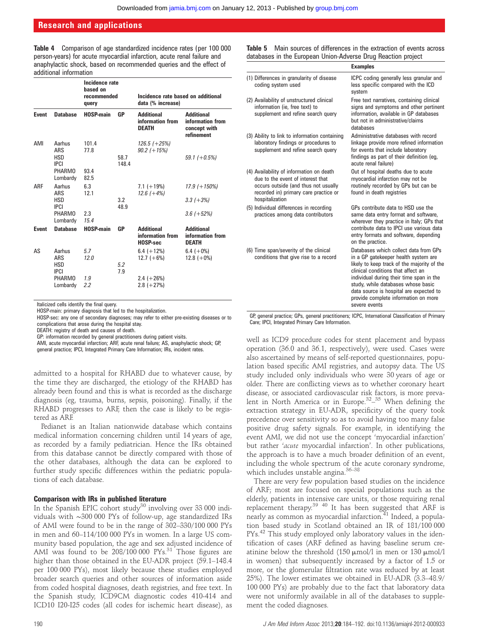# Research and applications

Table 4 Comparison of age standardized incidence rates (per 100 000 person-years) for acute myocardial infarction, acute renal failure and anaphylactic shock, based on recommended queries and the effect of additional information

|              |                                                                         | Incidence rate<br>based on<br>recommended<br>query |               | Incidence rate based on additional<br>data (% increase)  |                                                                     |
|--------------|-------------------------------------------------------------------------|----------------------------------------------------|---------------|----------------------------------------------------------|---------------------------------------------------------------------|
| <b>Event</b> | <b>Database</b>                                                         | <b>HOSP-main</b>                                   | GP            | <b>Additional</b><br>information from<br><b>DEATH</b>    | <b>Additional</b><br>information from<br>concept with<br>refinement |
| AMI          | Aarhus<br><b>ARS</b><br>HSD<br><b>IPCI</b><br><b>PHARMO</b><br>Lombardy | 101.4<br>77.8<br>93.4<br>82.5                      | 58.7<br>148.4 | $126.5$ (+25%)<br>$90.2$ (+15%)                          | $59.1 (+0.5%)$                                                      |
| <b>ARF</b>   | Aarhus<br>ARS<br><b>HSD</b><br><b>IPCI</b><br><b>PHARMO</b><br>Lombardy | 6.3<br>12.1<br>2.3<br>15.4                         | 3.2<br>48.9   | $7.1 (+19%)$<br>$12.6$ (+4%)                             | $17.9 + 150\%$<br>$3.3$ (+3%)<br>$3.6 (+52%)$                       |
| Event        | <b>Database</b>                                                         | <b>HOSP-main</b>                                   | GP            | <b>Additional</b><br>information from<br><b>HOSP-sec</b> | <b>Additional</b><br>information from<br><b>DEATH</b>               |
| AS           | Aarhus<br><b>ARS</b><br><b>HSD</b><br><b>IPCI</b><br><b>PHARMO</b>      | 5.7<br>12.0<br>1.9                                 | 5.2<br>7.9    | 6.4 $(+12%)$<br>$12.7 (+6%)$<br>$2.4 (+26%)$             | $6.4 (+0\%)$<br>$12.8 (+0\%)$                                       |
|              | Lombardy                                                                | 2.2                                                |               | $2.8 (+27%)$                                             |                                                                     |

Italicized cells identify the final query.

HOSP-main: primary diagnosis that led to the hospitalization.

HOSP-sec: any one of secondary diagnoses; may refer to either pre-existing diseases or to complications that arose during the hospital stay.

DEATH: registry of death and causes of death.

GP: information recorded by general practitioners during patient visits.

AMI, acute myocardial infarction; ARF, acute renal failure; AS, anaphylactic shock; GP,

general practice; IPCI, Integrated Primary Care Information; IRs, incident rates.

admitted to a hospital for RHABD due to whatever cause, by the time they are discharged, the etiology of the RHABD has already been found and this is what is recorded as the discharge diagnosis (eg, trauma, burns, sepsis, poisoning). Finally, if the RHABD progresses to ARF, then the case is likely to be registered as ARF.

Pedianet is an Italian nationwide database which contains medical information concerning children until 14 years of age, as recorded by a family pediatrician. Hence the IRs obtained from this database cannot be directly compared with those of the other databases, although the data can be explored to further study specific differences within the pediatric populations of each database.

#### Comparison with IRs in published literature

In the Spanish EPIC cohort study<sup>30</sup> involving over 33 000 individuals with ∼300 000 PYs of follow-up, age standardized IRs of AMI were found to be in the range of 302–330/100 000 PYs in men and 60–114/100 000 PYs in women. In a large US community based population, the age and sex adjusted incidence of AMI was found to be 208/100 000 PYs.<sup>31</sup> Those figures are higher than those obtained in the EU-ADR project (59.1–148.4 per 100 000 PYs), most likely because these studies employed broader search queries and other sources of information aside from coded hospital diagnoses, death registries, and free text. In the Spanish study, ICD9CM diagnostic codes 410-414 and ICD10 I20-I25 codes (all codes for ischemic heart disease), as

Table 5 Main sources of differences in the extraction of events across databases in the European Union-Adverse Drug Reaction project

|                                                                                                                                                                                   | <b>Examples</b>                                                                                                                                                                                                                                                                                                                                          |
|-----------------------------------------------------------------------------------------------------------------------------------------------------------------------------------|----------------------------------------------------------------------------------------------------------------------------------------------------------------------------------------------------------------------------------------------------------------------------------------------------------------------------------------------------------|
| (1) Differences in granularity of disease<br>coding system used                                                                                                                   | ICPC coding generally less granular and<br>less specific compared with the ICD<br>system                                                                                                                                                                                                                                                                 |
| (2) Availability of unstructured clinical<br>information (ie, free text) to<br>supplement and refine search query                                                                 | Free text narratives, containing clinical<br>signs and symptoms and other pertinent<br>information, available in GP databases<br>but not in administrative/claims<br>databases                                                                                                                                                                           |
| (3) Ability to link to information containing<br>laboratory findings or procedures to<br>supplement and refine search query                                                       | Administrative databases with record<br>linkage provide more refined information<br>for events that include laboratory<br>findings as part of their definition (eg,<br>acute renal failure)                                                                                                                                                              |
| (4) Availability of information on death<br>due to the event of interest that<br>occurs outside (and thus not usually<br>recorded in) primary care practice or<br>hospitalization | Out of hospital deaths due to acute<br>myocardial infarction may not be<br>routinely recorded by GPs but can be<br>found in death registries                                                                                                                                                                                                             |
| (5) Individual differences in recording<br>practices among data contributors                                                                                                      | GPs contribute data to HSD use the<br>same data entry format and software,<br>wherever they practice in Italy; GPs that<br>contribute data to IPCI use various data<br>entry formats and software, depending<br>on the practice.                                                                                                                         |
| (6) Time span/severity of the clinical<br>conditions that give rise to a record                                                                                                   | Databases which collect data from GPs<br>in a GP gatekeeper health system are<br>likely to keep track of the majority of the<br>clinical conditions that affect an<br>individual during their time span in the<br>study, while databases whose basic<br>data source is hospital are expected to<br>provide complete information on more<br>severe events |

GP, general practice; GPs, general practitioners; ICPC, International Classification of Primary Care; IPCI, Integrated Primary Care Information.

well as ICD9 procedure codes for stent placement and bypass operation (36.0 and 36.1, respectively), were used. Cases were also ascertained by means of self-reported questionnaires, population based specific AMI registries, and autopsy data. The US study included only individuals who were 30 years of age or older. There are conflicting views as to whether coronary heart disease, or associated cardiovascular risk factors, is more prevalent in North America or in Europe.<sup>32 $-$ 35</sup> When defining the extraction strategy in EU-ADR, specificity of the query took precedence over sensitivity so as to avoid having too many false positive drug safety signals. For example, in identifying the event AMI, we did not use the concept 'myocardial infarction' but rather 'acute myocardial infarction'. In other publications, the approach is to have a much broader definition of an event, including the whole spectrum of the acute coronary syndrome, which includes unstable angina.36–<sup>38</sup>

There are very few population based studies on the incidence of ARF; most are focused on special populations such as the elderly, patients in intensive care units, or those requiring renal replacement therapy.<sup>39 40</sup> It has been suggested that ARF is nearly as common as myocardial infarction. $41$  Indeed, a population based study in Scotland obtained an IR of 181/100 000 PYs.<sup>42</sup> This study employed only laboratory values in the identification of cases (ARF defined as having baseline serum creatinine below the threshold (150  $\mu$ mol/l in men or 130  $\mu$ mol/l in women) that subsequently increased by a factor of 1.5 or more, or the glomerular filtration rate was reduced by at least 25%). The lower estimates we obtained in EU-ADR (3.3–48.9/ 100 000 PYs) are probably due to the fact that laboratory data were not uniformly available in all of the databases to supplement the coded diagnoses.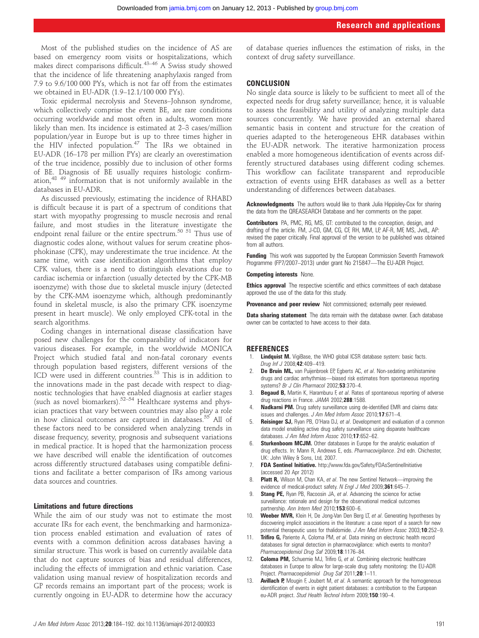Most of the published studies on the incidence of AS are based on emergency room visits or hospitalizations, which makes direct comparisons difficult.<sup>43–46</sup> A Swiss study showed that the incidence of life threatening anaphylaxis ranged from 7.9 to 9.6/100 000 PYs, which is not far off from the estimates we obtained in EU-ADR (1.9–12.1/100 000 PYs).

Toxic epidermal necrolysis and Stevens–Johnson syndrome, which collectively comprise the event BE, are rare conditions occurring worldwide and most often in adults, women more likely than men. Its incidence is estimated at 2–3 cases/million population/year in Europe but is up to three times higher in the HIV infected population.<sup>47</sup> The IRs we obtained in EU-ADR (16–178 per million PYs) are clearly an overestimation of the true incidence, possibly due to inclusion of other forms of BE. Diagnosis of BE usually requires histologic confirmation,48 49 information that is not uniformly available in the databases in EU-ADR.

As discussed previously, estimating the incidence of RHABD is difficult because it is part of a spectrum of conditions that start with myopathy progressing to muscle necrosis and renal failure, and most studies in the literature investigate the endpoint renal failure or the entire spectrum.<sup>50 51</sup> Thus use of diagnostic codes alone, without values for serum creatine phosphokinase (CPK), may underestimate the true incidence. At the same time, with case identification algorithms that employ CPK values, there is a need to distinguish elevations due to cardiac ischemia or infarction (usually detected by the CPK-MB isoenzyme) with those due to skeletal muscle injury (detected by the CPK-MM isoenzyme which, although predominantly found in skeletal muscle, is also the primary CPK isoenzyme present in heart muscle). We only employed CPK-total in the search algorithms.

Coding changes in international disease classification have posed new challenges for the comparability of indicators for various diseases. For example, in the worldwide MONICA Project which studied fatal and non-fatal coronary events through population based registers, different versions of the ICD were used in different countries.<sup>33</sup> This is in addition to the innovations made in the past decade with respect to diagnostic technologies that have enabled diagnosis at earlier stages (such as novel biomarkers).<sup>52–54</sup> Healthcare systems and physician practices that vary between countries may also play a role in how clinical outcomes are captured in databases.<sup>55</sup> All of these factors need to be considered when analyzing trends in disease frequency, severity, prognosis and subsequent variations in medical practice. It is hoped that the harmonization process we have described will enable the identification of outcomes across differently structured databases using compatible definitions and facilitate a better comparison of IRs among various data sources and countries.

# Limitations and future directions

While the aim of our study was not to estimate the most accurate IRs for each event, the benchmarking and harmonization process enabled estimation and evaluation of rates of events with a common definition across databases having a similar structure. This work is based on currently available data that do not capture sources of bias and residual differences, including the effects of immigration and ethnic variation. Case validation using manual review of hospitalization records and GP records remains an important part of the process; work is currently ongoing in EU-ADR to determine how the accuracy

of database queries influences the estimation of risks, in the context of drug safety surveillance.

## CONCLUSION

No single data source is likely to be sufficient to meet all of the expected needs for drug safety surveillance; hence, it is valuable to assess the feasibility and utility of analyzing multiple data sources concurrently. We have provided an external shared semantic basis in content and structure for the creation of queries adapted to the heterogeneous EHR databases within the EU-ADR network. The iterative harmonization process enabled a more homogeneous identification of events across differently structured databases using different coding schemes. This workflow can facilitate transparent and reproducible extraction of events using EHR databases as well as a better understanding of differences between databases.

Acknowledgments The authors would like to thank Julia Hippisley-Cox for sharing the data from the QREASEARCH Database and her comments on the paper.

Contributors PA, PMC, RG, MS, GT: contributed to the conception, design, and drafting of the article. FM, J-CD, GM, CG, CF, RH, MM, LP, AF-R, MF, MS, JvdL, AP: revised the paper critically. Final approval of the version to be published was obtained from all authors.

**Funding** This work was supported by the European Commission Seventh Framework Programme (FP7/2007–2013) under grant No 215847—The EU-ADR Project.

#### Competing interests None.

**Ethics approval** The respective scientific and ethics committees of each database approved the use of the data for this study.

Provenance and peer review Not commissioned; externally peer reviewed.

**Data sharing statement** The data remain with the database owner. Each database owner can be contacted to have access to their data.

# **REFERENCES**

- Lindquist M. VigiBase, the WHO global ICSR database system: basic facts. Drug Inf J 2008;42:409–419.
- De Bruin ML, van Puijenbroek EP, Egberts AC, et al. Non-sedating antihistamine drugs and cardiac arrhythmias—biased risk estimates from spontaneous reporting systems? Br J Clin Pharmacol 2002;53:370–4.
- 3. **Begaud B,** Martin K, Haramburu F, et al. Rates of spontaneous reporting of adverse drug reactions in France. JAMA 2002;288:1588.
- 4. Nadkarni PM. Drug safety surveillance using de-identified EMR and claims data: issues and challenges. J Am Med Inform Assoc 2010;17:671–4.
- **Reisinger SJ, Ryan PB, O'Hara DJ, et al. Development and evaluation of a common** data model enabling active drug safety surveillance using disparate healthcare databases. J Am Med Inform Assoc 2010;17:652-62.
- 6. Sturkenboom MCJM. Other databases in Europe for the analytic evaluation of drug effects. In: Mann R, Andrews E, eds. Pharmacovigilance. 2nd edn. Chichester, UK: John Wiley & Sons, Ltd, 2007.
- FDA Sentinel Initiative. <http://www.fda.gov/Safety/FDAsSentinelInitiative> (accessed 20 Apr 2012)
- 8. Platt R, Wilson M, Chan KA, et al. The new Sentinel Network-improving the evidence of medical-product safety. N Engl J Med 2009;361:645-7.
- 9. Stang PE, Ryan PB, Racoosin JA, et al. Advancing the science for active surveillance: rationale and design for the observational medical outcomes partnership. Ann Intern Med 2010;153:600-6.
- 10. Weeber MVR, Klein H, De Jong-Van Den Berg LT, et al. Generating hypotheses by discovering implicit associations in the literature: a case report of a search for new potential therapeutic uses for thalidomide. J Am Med Inform Assoc 2003;10:252-9.
- 11. Trifiro G, Pariente A, Coloma PM, et al. Data mining on electronic health record databases for signal detection in pharmacovigilance: which events to monitor? Pharmacoepidemiol Drug Saf 2009;18:1176-84.
- Coloma PM, Schuemie MJ, Trifiro G, et al. Combining electronic healthcare databases in Europe to allow for large-scale drug safety monitoring: the EU-ADR Project. Pharmacoepidemiol Drug Saf 2011;20:1-11.
- 13. **Avillach P,** Mougin F, Joubert M, et al. A semantic approach for the homogeneous identification of events in eight patient databases: a contribution to the European eu-ADR project. Stud Health Technol Inform 2009;150:190-4.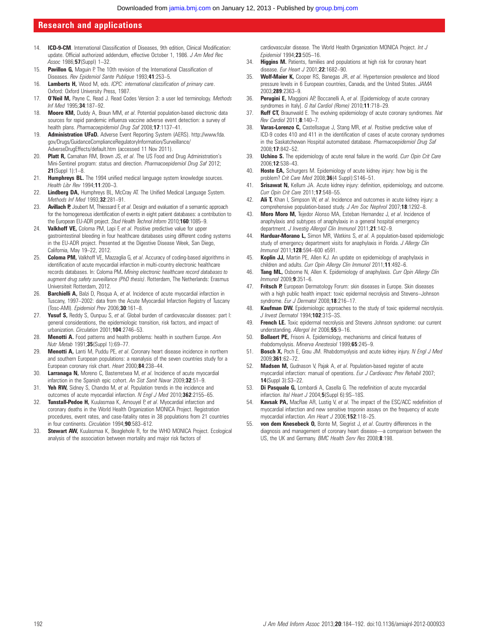# Research and applications

- 14. **ICD-9-CM**. International Classification of Diseases, 9th edition, Clinical Modification: update. Official authorized addendum, effective October 1, 1986. J Am Med Rec Assoc 1986:57 (Suppl) 1-32.
- 15. Pavillon G, Maguin P. The 10th revision of the International Classification of Diseases. Rev Epidemiol Sante Publique 1993;41:253-5.
- 16. Lamberts H, Wood M, eds. ICPC: international classification of primary care. Oxford: Oxford University Press, 1987.
- 17. **O'Neil M,** Payne C, Read J. Read Codes Version 3: a user led terminology. Methods Inf Med 1995;34:187-92.
- 18. Moore KM, Duddy A, Braun MM, et al. Potential population-based electronic data sources for rapid pandemic influenza vaccine adverse event detection: a survey of health plans. Pharmacoepidemiol Drug Saf 2008;17:1137-41.
- 19. Administration UFaD. Adverse Event Reporting System (AERS). [http://www.fda.](http://www.fda.gov/Drugs/GuidanceComplianceRegulatoryInformation/Surveillance/AdverseDrugEffects/default.htm) [gov/Drugs/GuidanceComplianceRegulatoryInformation/Surveillance/](http://www.fda.gov/Drugs/GuidanceComplianceRegulatoryInformation/Surveillance/AdverseDrugEffects/default.htm) [AdverseDrugEffects/default.htm](http://www.fda.gov/Drugs/GuidanceComplianceRegulatoryInformation/Surveillance/AdverseDrugEffects/default.htm) (accessed 11 Nov 2011).
- 20. Platt R, Carnahan RM, Brown JS, et al. The US Food and Drug Administration's Mini-Sentinel program: status and direction. Pharmacoepidemiol Drug Saf 2012; 21(Suppl 1):1-8.
- 21. Humphreys BL. The 1994 unified medical language system knowledge sources. Health Libr Rev 1994;11:200–3.
- 22. Lindberg DA, Humphreys BL, McCray AT. The Unified Medical Language System. Methods Inf Med 1993;32:281-91.
- 23. Avillach P, Joubert M, Thiessard F, et al. Design and evaluation of a semantic approach for the homogeneous identification of events in eight patient databases: a contribution to the European EU-ADR project. Stud Health Technol Inform 2010;160:1085-9.
- 24. Valkhoff VE, Coloma PM, Lapi F, et al. Positive predictive value for upper gastrointestinal bleeding in four healthcare databases using different coding systems in the EU-ADR project. Presented at the Digestive Disease Week, San Diego, California, May 19–22, 2012.
- 25. **Coloma PM,** Valkhoff VE, Mazzaglia G, et al. Accuracy of coding-based algorithms in identification of acute myocardial infarction in multi-country electronic healthcare records databases. In: Coloma PM. Mining electronic healthcare record databases to augment drug safety surveillance (PhD thesis). Rotterdam, The Netherlands: Erasmus Universiteit Rotterdam, 2012.
- 26. **Barchielli A,** Balzi D, Pasqua A, et al. Incidence of acute myocardial infarction in Tuscany, 1997–2002: data from the Acute Myocardial Infarction Registry of Tuscany (Tosc-AMI). Epidemiol Prev 2006;30:161–8.
- 27. **Yusuf S.** Reddy S. Ounpuu S. et al. Global burden of cardiovascular diseases: part I: general considerations, the epidemiologic transition, risk factors, and impact of urbanization. Circulation 2001;104:2746-53.
- 28. Menotti A. Food patterns and health problems: health in southern Europe. Ann Nutr Metab 1991;35(Suppl 1):69-77.
- 29. **Menotti A,** Lanti M, Puddu PE, et al. Coronary heart disease incidence in northern and southern European populations: a reanalysis of the seven countries study for a European coronary risk chart. Heart 2000;84:238–44.
- 30. Larranaga N, Moreno C, Basterretxea M, et al. Incidence of acute myocardial infarction in the Spanish epic cohort. An Sist Sanit Navar 2009;32:51-9.
- 31. **Yeh RW,** Sidney S, Chandra M, et al. Population trends in the incidence and outcomes of acute myocardial infarction. N Engl J Med 2010;362:2155-65.
- 32. Tunstall-Pedoe H, Kuulasmaa K, Amouyel P, et al. Myocardial infarction and coronary deaths in the World Health Organization MONICA Project. Registration procedures, event rates, and case-fatality rates in 38 populations from 21 countries in four continents. Circulation 1994;90:583-612.
- 33. Stewart AW, Kuulasmaa K, Beaglehole R, for the WHO MONICA Project. Ecological analysis of the association between mortality and major risk factors of

cardiovascular disease. The World Health Organization MONICA Project. Int J Epidemiol 1994;23:505–16.

- 34. **Higgins M.** Patients, families and populations at high risk for coronary heart disease. Eur Heart J 2001;22:1682–90.
- 35. Wolf-Maier K, Cooper RS, Banegas JR, et al. Hypertension prevalence and blood pressure levels in 6 European countries, Canada, and the United States. JAMA 2003;289:2363–9.
- 36. Perugini E, Maggioni AP, Boccanelli A, et al. [Epidemiology of acute coronary syndromes in Italy]. G Ital Cardiol (Rome) 2010;11:718-29.
- 37. Ruff CT, Braunwald E. The evolving epidemiology of acute coronary syndromes. Nat Rev Cardiol 2011;8:140–7.
- 38. Varas-Lorenzo C, Castellsague J, Stang MR, et al. Positive predictive value of ICD-9 codes 410 and 411 in the identification of cases of acute coronary syndromes in the Saskatchewan Hospital automated database. Pharmacoepidemiol Drug Saf 2008;17:842–52.
- 39. **Uchino S.** The epidemiology of acute renal failure in the world. Curr Opin Crit Care 2006;12:538–43.
- 40. Hoste EA, Schurgers M. Epidemiology of acute kidney injury: how big is the problem? Crit Care Med 2008;36(4 Suppl):S146-51.
- 41. Srisawat N, Kellum JA. Acute kidney injury: definition, epidemiology, and outcome. Curr Opin Crit Care 2011;17:548–55.
- 42. Ali T, Khan I, Simpson W, et al. Incidence and outcomes in acute kidney injury: a comprehensive population-based study. J Am Soc Nephrol 2007;18:1292–8.
- 43. Moro Moro M, Tejedor Alonso MA, Esteban Hernandez J, et al. Incidence of anaphylaxis and subtypes of anaphylaxis in a general hospital emergency department. J Investig Allergol Clin Immunol 2011;21:142-9.
- Harduar-Morano L, Simon MR, Watkins S, et al. A population-based epidemiologic study of emergency department visits for anaphylaxis in Florida. J Allergy Clin Immunol 2011;128:594–600 e591.
- 45. Koplin JJ, Martin PE, Allen KJ. An update on epidemiology of anaphylaxis in children and adults. Curr Opin Allergy Clin Immunol 2011;11:492-6.
- Tang ML, Osborne N, Allen K. Epidemiology of anaphylaxis. Curr Opin Allergy Clin Immunol 2009;9:351–6.
- 47. Fritsch P. European Dermatology Forum: skin diseases in Europe. Skin diseases with a high public health impact: toxic epidermal necrolysis and Stevens–Johnson syndrome. Eur J Dermatol 2008:18:216-17.
- 48. Kaufman DW. Epidemiologic approaches to the study of toxic epidermal necrolysis. J Invest Dermatol 1994;102:31S–3S.
- 49. French LE. Toxic epidermal necrolysis and Stevens Johnson syndrome: our current understanding. Allergol Int 2006;55:9-16.
- 50. **Bollaert PE**, Frisoni A. Epidemiology, mechanisms and clinical features of rhabdomyolysis. Minerva Anestesiol 1999;65:245–9.
- 51. Bosch X, Poch E, Grau JM. Rhabdomyolysis and acute kidney injury. N Engl J Med 2009;361:62–72.
- 52. Madsen M, Gudnason V, Pajak A, et al. Population-based register of acute myocardial infarction: manual of operations. Eur J Cardiovasc Prev Rehabil 2007; 14(Suppl 3):S3–22.
- 53. **Di Pasquale G,** Lombardi A, Casella G. The redefinition of acute myocardial infarction. Ital Heart J 2004;5(Suppl 6):9S-18S.
- 54. **Kavsak PA,** MacRae AR, Lustig V, et al. The impact of the ESC/ACC redefinition of myocardial infarction and new sensitive troponin assays on the frequency of acute myocardial infarction. Am Heart J 2006;152:118-25.
- 55. von dem Knesebeck O, Bonte M, Siegrist J, et al. Country differences in the diagnosis and management of coronary heart disease—a comparison between the US, the UK and Germany. BMC Health Serv Res 2008;8:198.